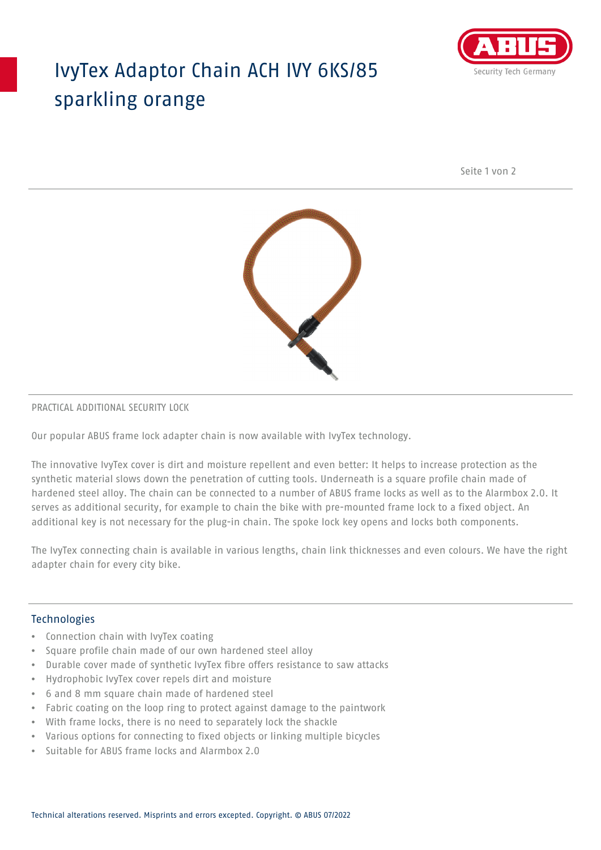## IvyTex Adaptor Chain ACH IVY 6KS/85 sparkling orange



Seite 1 von 2



#### PRACTICAL ADDITIONAL SECURITY LOCK

Our popular ABUS frame lock adapter chain is now available with IvyTex technology.

The innovative IvyTex cover is dirt and moisture repellent and even better: It helps to increase protection as the synthetic material slows down the penetration of cutting tools. Underneath is a square profile chain made of hardened steel alloy. The chain can be connected to a number of ABUS frame locks as well as to the Alarmbox 2.0. It serves as additional security, for example to chain the bike with pre-mounted frame lock to a fixed object. An additional key is not necessary for the plug-in chain. The spoke lock key opens and locks both components.

The IvyTex connecting chain is available in various lengths, chain link thicknesses and even colours. We have the right adapter chain for every city bike.

### Technologies

- Connection chain with IvyTex coating
- Square profile chain made of our own hardened steel alloy
- Durable cover made of synthetic IvyTex fibre offers resistance to saw attacks
- Hydrophobic IvyTex cover repels dirt and moisture
- 6 and 8 mm square chain made of hardened steel
- Fabric coating on the loop ring to protect against damage to the paintwork
- With frame locks, there is no need to separately lock the shackle
- Various options for connecting to fixed objects or linking multiple bicycles
- Suitable for ABUS frame locks and Alarmbox 2.0